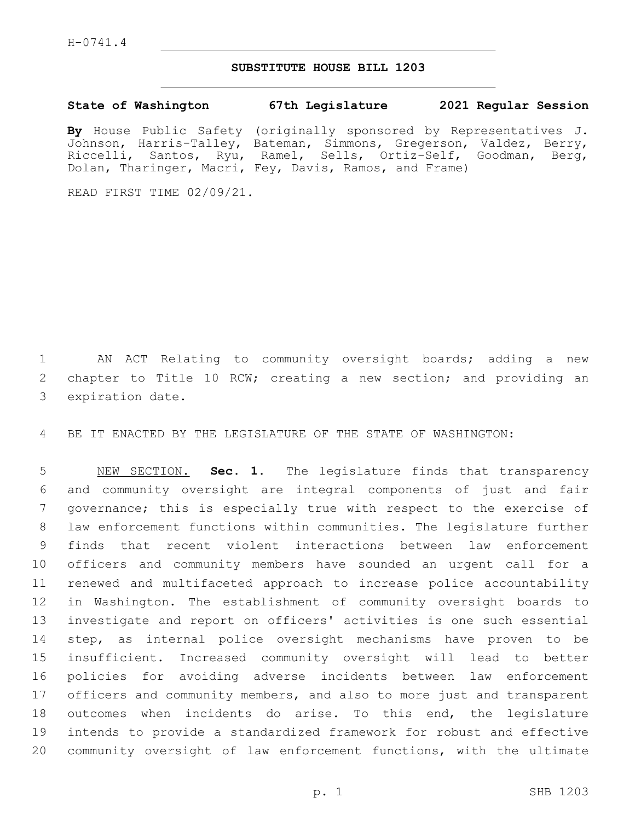H-0741.4

## **SUBSTITUTE HOUSE BILL 1203**

## **State of Washington 67th Legislature 2021 Regular Session**

**By** House Public Safety (originally sponsored by Representatives J. Johnson, Harris-Talley, Bateman, Simmons, Gregerson, Valdez, Berry, Riccelli, Santos, Ryu, Ramel, Sells, Ortiz-Self, Goodman, Berg, Dolan, Tharinger, Macri, Fey, Davis, Ramos, and Frame)

READ FIRST TIME 02/09/21.

 AN ACT Relating to community oversight boards; adding a new chapter to Title 10 RCW; creating a new section; and providing an 3 expiration date.

BE IT ENACTED BY THE LEGISLATURE OF THE STATE OF WASHINGTON:

 NEW SECTION. **Sec. 1.** The legislature finds that transparency and community oversight are integral components of just and fair governance; this is especially true with respect to the exercise of law enforcement functions within communities. The legislature further finds that recent violent interactions between law enforcement officers and community members have sounded an urgent call for a renewed and multifaceted approach to increase police accountability in Washington. The establishment of community oversight boards to investigate and report on officers' activities is one such essential step, as internal police oversight mechanisms have proven to be insufficient. Increased community oversight will lead to better policies for avoiding adverse incidents between law enforcement officers and community members, and also to more just and transparent outcomes when incidents do arise. To this end, the legislature intends to provide a standardized framework for robust and effective community oversight of law enforcement functions, with the ultimate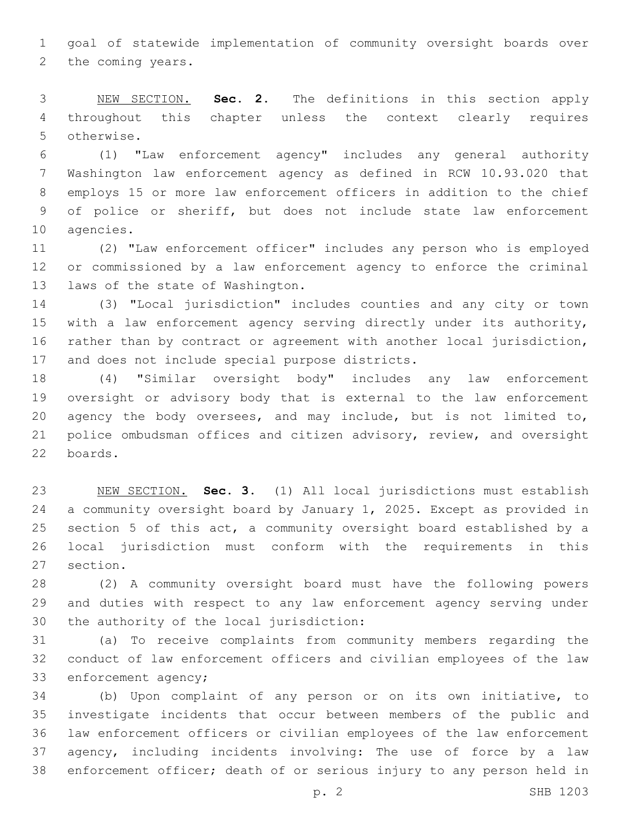goal of statewide implementation of community oversight boards over 2 the coming years.

 NEW SECTION. **Sec. 2.** The definitions in this section apply throughout this chapter unless the context clearly requires otherwise.

 (1) "Law enforcement agency" includes any general authority Washington law enforcement agency as defined in RCW 10.93.020 that employs 15 or more law enforcement officers in addition to the chief of police or sheriff, but does not include state law enforcement 10 agencies.

 (2) "Law enforcement officer" includes any person who is employed or commissioned by a law enforcement agency to enforce the criminal 13 laws of the state of Washington.

 (3) "Local jurisdiction" includes counties and any city or town with a law enforcement agency serving directly under its authority, rather than by contract or agreement with another local jurisdiction, 17 and does not include special purpose districts.

 (4) "Similar oversight body" includes any law enforcement oversight or advisory body that is external to the law enforcement agency the body oversees, and may include, but is not limited to, police ombudsman offices and citizen advisory, review, and oversight boards.22

 NEW SECTION. **Sec. 3.** (1) All local jurisdictions must establish a community oversight board by January 1, 2025. Except as provided in section 5 of this act, a community oversight board established by a local jurisdiction must conform with the requirements in this section.

 (2) A community oversight board must have the following powers and duties with respect to any law enforcement agency serving under 30 the authority of the local jurisdiction:

 (a) To receive complaints from community members regarding the conduct of law enforcement officers and civilian employees of the law 33 enforcement agency;

 (b) Upon complaint of any person or on its own initiative, to investigate incidents that occur between members of the public and law enforcement officers or civilian employees of the law enforcement agency, including incidents involving: The use of force by a law enforcement officer; death of or serious injury to any person held in

p. 2 SHB 1203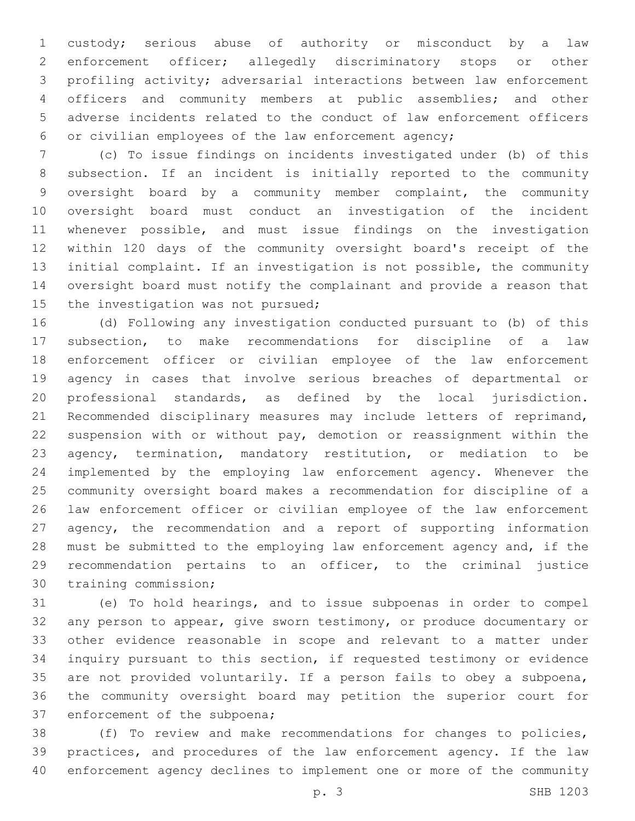custody; serious abuse of authority or misconduct by a law enforcement officer; allegedly discriminatory stops or other profiling activity; adversarial interactions between law enforcement officers and community members at public assemblies; and other adverse incidents related to the conduct of law enforcement officers or civilian employees of the law enforcement agency;

 (c) To issue findings on incidents investigated under (b) of this subsection. If an incident is initially reported to the community oversight board by a community member complaint, the community oversight board must conduct an investigation of the incident whenever possible, and must issue findings on the investigation within 120 days of the community oversight board's receipt of the initial complaint. If an investigation is not possible, the community oversight board must notify the complainant and provide a reason that 15 the investigation was not pursued;

 (d) Following any investigation conducted pursuant to (b) of this subsection, to make recommendations for discipline of a law enforcement officer or civilian employee of the law enforcement agency in cases that involve serious breaches of departmental or professional standards, as defined by the local jurisdiction. Recommended disciplinary measures may include letters of reprimand, suspension with or without pay, demotion or reassignment within the agency, termination, mandatory restitution, or mediation to be implemented by the employing law enforcement agency. Whenever the community oversight board makes a recommendation for discipline of a law enforcement officer or civilian employee of the law enforcement 27 agency, the recommendation and a report of supporting information must be submitted to the employing law enforcement agency and, if the recommendation pertains to an officer, to the criminal justice 30 training commission;

 (e) To hold hearings, and to issue subpoenas in order to compel any person to appear, give sworn testimony, or produce documentary or other evidence reasonable in scope and relevant to a matter under inquiry pursuant to this section, if requested testimony or evidence are not provided voluntarily. If a person fails to obey a subpoena, the community oversight board may petition the superior court for 37 enforcement of the subpoena;

 (f) To review and make recommendations for changes to policies, practices, and procedures of the law enforcement agency. If the law enforcement agency declines to implement one or more of the community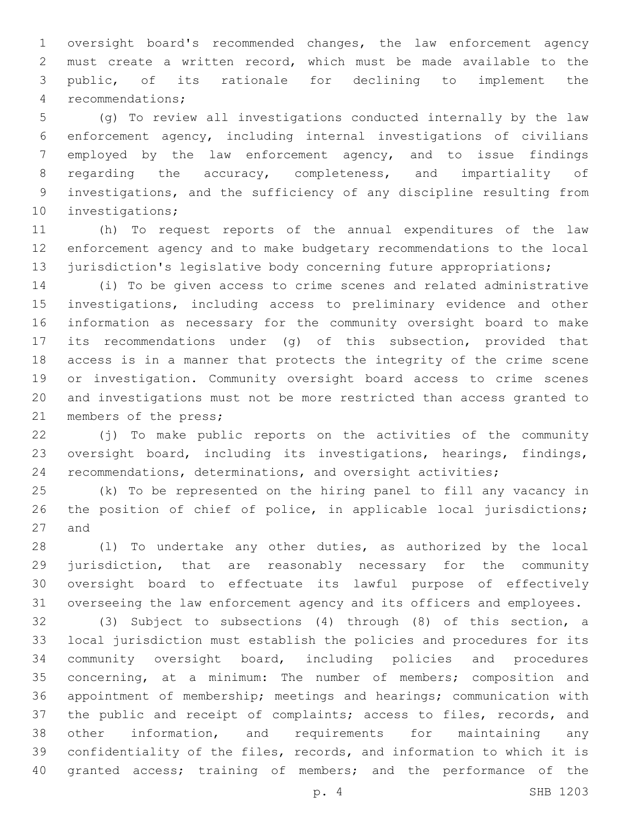oversight board's recommended changes, the law enforcement agency must create a written record, which must be made available to the public, of its rationale for declining to implement the recommendations;4

 (g) To review all investigations conducted internally by the law enforcement agency, including internal investigations of civilians employed by the law enforcement agency, and to issue findings regarding the accuracy, completeness, and impartiality of investigations, and the sufficiency of any discipline resulting from 10 investigations;

 (h) To request reports of the annual expenditures of the law enforcement agency and to make budgetary recommendations to the local 13 jurisdiction's legislative body concerning future appropriations;

 (i) To be given access to crime scenes and related administrative investigations, including access to preliminary evidence and other information as necessary for the community oversight board to make its recommendations under (g) of this subsection, provided that access is in a manner that protects the integrity of the crime scene or investigation. Community oversight board access to crime scenes and investigations must not be more restricted than access granted to 21 members of the press;

 (j) To make public reports on the activities of the community oversight board, including its investigations, hearings, findings, recommendations, determinations, and oversight activities;

 (k) To be represented on the hiring panel to fill any vacancy in the position of chief of police, in applicable local jurisdictions; 27 and

 (l) To undertake any other duties, as authorized by the local jurisdiction, that are reasonably necessary for the community oversight board to effectuate its lawful purpose of effectively overseeing the law enforcement agency and its officers and employees.

 (3) Subject to subsections (4) through (8) of this section, a local jurisdiction must establish the policies and procedures for its community oversight board, including policies and procedures concerning, at a minimum: The number of members; composition and appointment of membership; meetings and hearings; communication with the public and receipt of complaints; access to files, records, and other information, and requirements for maintaining any confidentiality of the files, records, and information to which it is 40 granted access; training of members; and the performance of the

p. 4 SHB 1203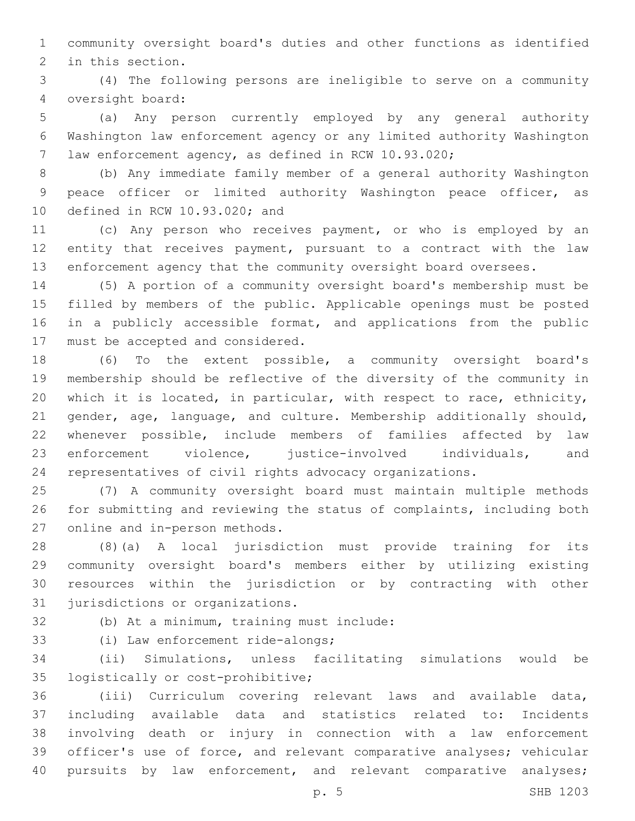community oversight board's duties and other functions as identified 2 in this section.

 (4) The following persons are ineligible to serve on a community oversight board:4

 (a) Any person currently employed by any general authority Washington law enforcement agency or any limited authority Washington law enforcement agency, as defined in RCW 10.93.020;

 (b) Any immediate family member of a general authority Washington peace officer or limited authority Washington peace officer, as 10 defined in RCW 10.93.020; and

 (c) Any person who receives payment, or who is employed by an entity that receives payment, pursuant to a contract with the law enforcement agency that the community oversight board oversees.

 (5) A portion of a community oversight board's membership must be filled by members of the public. Applicable openings must be posted in a publicly accessible format, and applications from the public 17 must be accepted and considered.

 (6) To the extent possible, a community oversight board's membership should be reflective of the diversity of the community in which it is located, in particular, with respect to race, ethnicity, gender, age, language, and culture. Membership additionally should, whenever possible, include members of families affected by law enforcement violence, justice-involved individuals, and representatives of civil rights advocacy organizations.

 (7) A community oversight board must maintain multiple methods for submitting and reviewing the status of complaints, including both 27 online and in-person methods.

 (8)(a) A local jurisdiction must provide training for its community oversight board's members either by utilizing existing resources within the jurisdiction or by contracting with other 31 jurisdictions or organizations.

32 (b) At a minimum, training must include:

33 (i) Law enforcement ride-alongs;

 (ii) Simulations, unless facilitating simulations would be 35 logistically or cost-prohibitive;

 (iii) Curriculum covering relevant laws and available data, including available data and statistics related to: Incidents involving death or injury in connection with a law enforcement officer's use of force, and relevant comparative analyses; vehicular 40 pursuits by law enforcement, and relevant comparative analyses;

p. 5 SHB 1203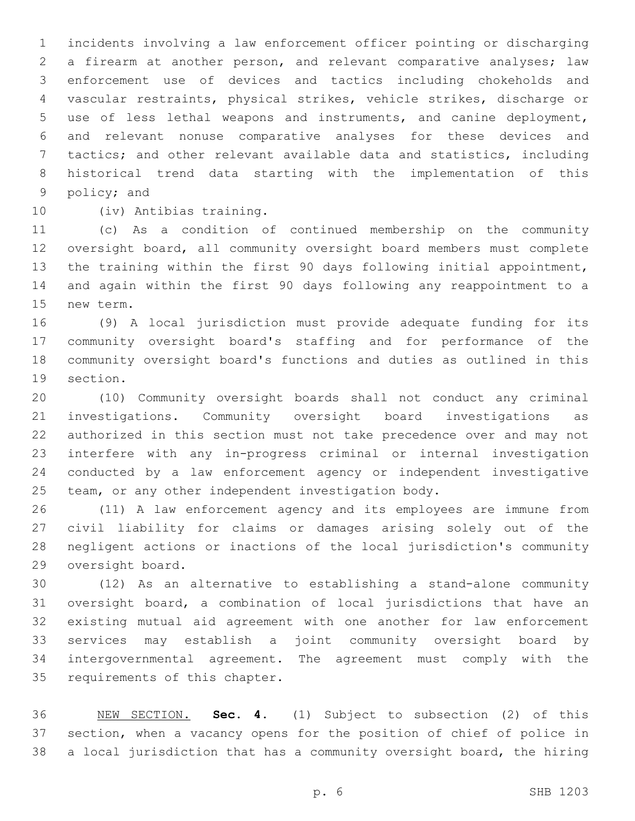incidents involving a law enforcement officer pointing or discharging a firearm at another person, and relevant comparative analyses; law enforcement use of devices and tactics including chokeholds and vascular restraints, physical strikes, vehicle strikes, discharge or use of less lethal weapons and instruments, and canine deployment, and relevant nonuse comparative analyses for these devices and tactics; and other relevant available data and statistics, including historical trend data starting with the implementation of this 9 policy; and

10 (iv) Antibias training.

 (c) As a condition of continued membership on the community oversight board, all community oversight board members must complete the training within the first 90 days following initial appointment, and again within the first 90 days following any reappointment to a 15 new term.

 (9) A local jurisdiction must provide adequate funding for its community oversight board's staffing and for performance of the community oversight board's functions and duties as outlined in this 19 section.

 (10) Community oversight boards shall not conduct any criminal investigations. Community oversight board investigations as authorized in this section must not take precedence over and may not interfere with any in-progress criminal or internal investigation conducted by a law enforcement agency or independent investigative team, or any other independent investigation body.

 (11) A law enforcement agency and its employees are immune from civil liability for claims or damages arising solely out of the negligent actions or inactions of the local jurisdiction's community 29 oversight board.

 (12) As an alternative to establishing a stand-alone community oversight board, a combination of local jurisdictions that have an existing mutual aid agreement with one another for law enforcement services may establish a joint community oversight board by intergovernmental agreement. The agreement must comply with the 35 requirements of this chapter.

 NEW SECTION. **Sec. 4.** (1) Subject to subsection (2) of this section, when a vacancy opens for the position of chief of police in a local jurisdiction that has a community oversight board, the hiring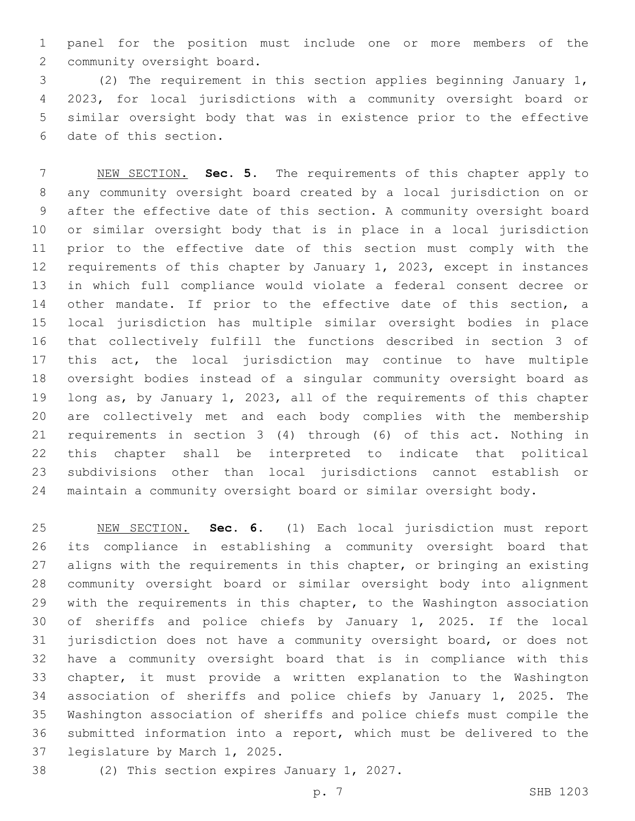panel for the position must include one or more members of the 2 community oversight board.

 (2) The requirement in this section applies beginning January 1, 2023, for local jurisdictions with a community oversight board or similar oversight body that was in existence prior to the effective 6 date of this section.

 NEW SECTION. **Sec. 5.** The requirements of this chapter apply to any community oversight board created by a local jurisdiction on or after the effective date of this section. A community oversight board or similar oversight body that is in place in a local jurisdiction prior to the effective date of this section must comply with the requirements of this chapter by January 1, 2023, except in instances in which full compliance would violate a federal consent decree or 14 other mandate. If prior to the effective date of this section, a local jurisdiction has multiple similar oversight bodies in place that collectively fulfill the functions described in section 3 of this act, the local jurisdiction may continue to have multiple oversight bodies instead of a singular community oversight board as long as, by January 1, 2023, all of the requirements of this chapter are collectively met and each body complies with the membership requirements in section 3 (4) through (6) of this act. Nothing in this chapter shall be interpreted to indicate that political subdivisions other than local jurisdictions cannot establish or maintain a community oversight board or similar oversight body.

 NEW SECTION. **Sec. 6.** (1) Each local jurisdiction must report its compliance in establishing a community oversight board that aligns with the requirements in this chapter, or bringing an existing community oversight board or similar oversight body into alignment with the requirements in this chapter, to the Washington association of sheriffs and police chiefs by January 1, 2025. If the local jurisdiction does not have a community oversight board, or does not have a community oversight board that is in compliance with this chapter, it must provide a written explanation to the Washington association of sheriffs and police chiefs by January 1, 2025. The Washington association of sheriffs and police chiefs must compile the submitted information into a report, which must be delivered to the legislature by March 1, 2025.

38 (2) This section expires January 1, 2027.